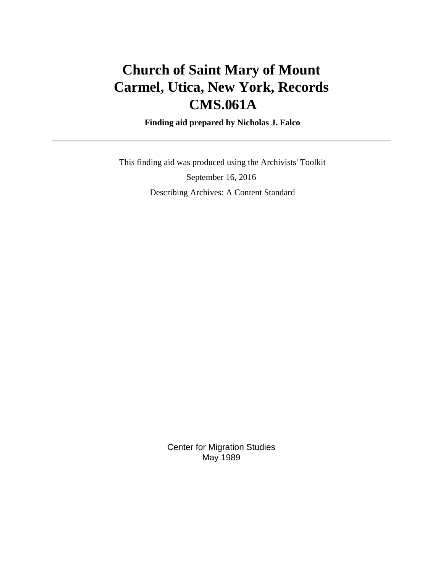# **Church of Saint Mary of Mount Carmel, Utica, New York, Records CMS.061A**

 **Finding aid prepared by Nicholas J. Falco**

 This finding aid was produced using the Archivists' Toolkit September 16, 2016 Describing Archives: A Content Standard

> Center for Migration Studies May 1989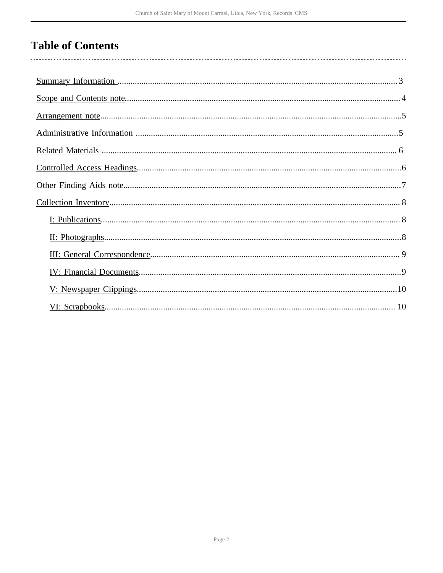# **Table of Contents**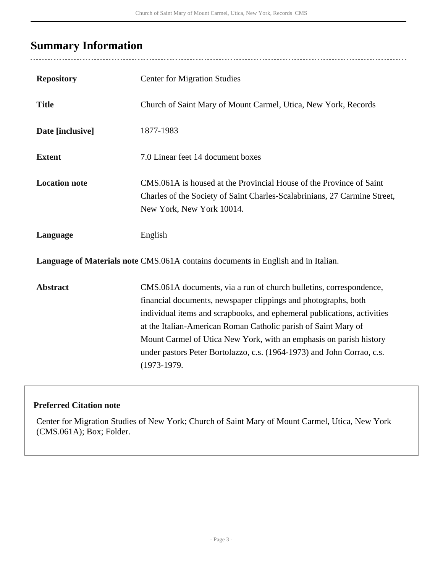## <span id="page-2-0"></span>**Summary Information**

 $\overline{a}$ 

| <b>Repository</b>                                                                 | <b>Center for Migration Studies</b>                                                                                                                                                                                                                                                                                                                                                                                                                |  |  |  |
|-----------------------------------------------------------------------------------|----------------------------------------------------------------------------------------------------------------------------------------------------------------------------------------------------------------------------------------------------------------------------------------------------------------------------------------------------------------------------------------------------------------------------------------------------|--|--|--|
| <b>Title</b>                                                                      | Church of Saint Mary of Mount Carmel, Utica, New York, Records                                                                                                                                                                                                                                                                                                                                                                                     |  |  |  |
| Date [inclusive]                                                                  | 1877-1983                                                                                                                                                                                                                                                                                                                                                                                                                                          |  |  |  |
| <b>Extent</b>                                                                     | 7.0 Linear feet 14 document boxes                                                                                                                                                                                                                                                                                                                                                                                                                  |  |  |  |
| <b>Location note</b>                                                              | CMS.061A is housed at the Provincial House of the Province of Saint<br>Charles of the Society of Saint Charles-Scalabrinians, 27 Carmine Street,<br>New York, New York 10014.                                                                                                                                                                                                                                                                      |  |  |  |
| Language                                                                          | English                                                                                                                                                                                                                                                                                                                                                                                                                                            |  |  |  |
| Language of Materials note CMS.061A contains documents in English and in Italian. |                                                                                                                                                                                                                                                                                                                                                                                                                                                    |  |  |  |
| <b>Abstract</b>                                                                   | CMS.061A documents, via a run of church bulletins, correspondence,<br>financial documents, newspaper clippings and photographs, both<br>individual items and scrapbooks, and ephemeral publications, activities<br>at the Italian-American Roman Catholic parish of Saint Mary of<br>Mount Carmel of Utica New York, with an emphasis on parish history<br>under pastors Peter Bortolazzo, c.s. (1964-1973) and John Corrao, c.s.<br>$(1973-1979.$ |  |  |  |

#### **Preferred Citation note**

Center for Migration Studies of New York; Church of Saint Mary of Mount Carmel, Utica, New York (CMS.061A); Box; Folder.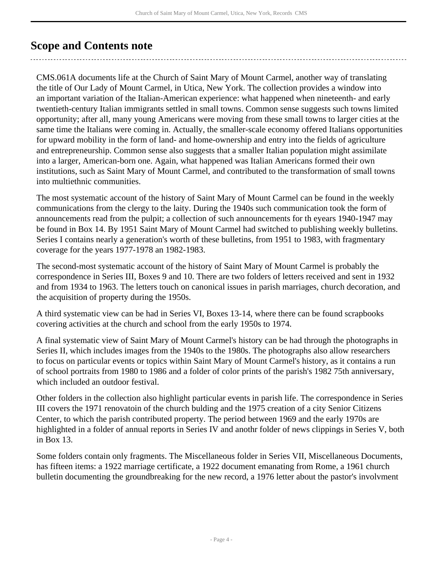## <span id="page-3-0"></span>**Scope and Contents note**

CMS.061A documents life at the Church of Saint Mary of Mount Carmel, another way of translating the title of Our Lady of Mount Carmel, in Utica, New York. The collection provides a window into an important variation of the Italian-American experience: what happened when nineteenth- and early twentieth-century Italian immigrants settled in small towns. Common sense suggests such towns limited opportunity; after all, many young Americans were moving from these small towns to larger cities at the same time the Italians were coming in. Actually, the smaller-scale economy offered Italians opportunities for upward mobility in the form of land- and home-ownership and entry into the fields of agriculture and entrepreneurship. Common sense also suggests that a smaller Italian population might assimilate into a larger, American-born one. Again, what happened was Italian Americans formed their own institutions, such as Saint Mary of Mount Carmel, and contributed to the transformation of small towns into multiethnic communities.

The most systematic account of the history of Saint Mary of Mount Carmel can be found in the weekly communications from the clergy to the laity. During the 1940s such communication took the form of announcements read from the pulpit; a collection of such announcements for th eyears 1940-1947 may be found in Box 14. By 1951 Saint Mary of Mount Carmel had switched to publishing weekly bulletins. Series I contains nearly a generation's worth of these bulletins, from 1951 to 1983, with fragmentary coverage for the years 1977-1978 an 1982-1983.

The second-most systematic account of the history of Saint Mary of Mount Carmel is probably the correspondence in Series III, Boxes 9 and 10. There are two folders of letters received and sent in 1932 and from 1934 to 1963. The letters touch on canonical issues in parish marriages, church decoration, and the acquisition of property during the 1950s.

A third systematic view can be had in Series VI, Boxes 13-14, where there can be found scrapbooks covering activities at the church and school from the early 1950s to 1974.

A final systematic view of Saint Mary of Mount Carmel's history can be had through the photographs in Series II, which includes images from the 1940s to the 1980s. The photographs also allow researchers to focus on particular events or topics within Saint Mary of Mount Carmel's history, as it contains a run of school portraits from 1980 to 1986 and a folder of color prints of the parish's 1982 75th anniversary, which included an outdoor festival.

Other folders in the collection also highlight particular events in parish life. The correspondence in Series III covers the 1971 renovatoin of the church bulding and the 1975 creation of a city Senior Citizens Center, to which the parish contributed property. The period between 1969 and the early 1970s are highlighted in a folder of annual reports in Series IV and anothr folder of news clippings in Series V, both in Box 13.

Some folders contain only fragments. The Miscellaneous folder in Series VII, Miscellaneous Documents, has fifteen items: a 1922 marriage certificate, a 1922 document emanating from Rome, a 1961 church bulletin documenting the groundbreaking for the new record, a 1976 letter about the pastor's involvment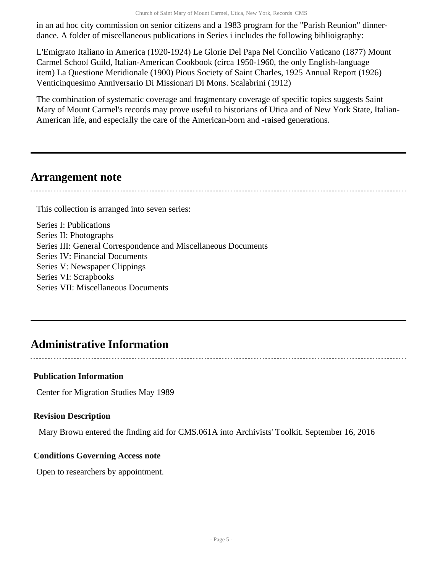in an ad hoc city commission on senior citizens and a 1983 program for the "Parish Reunion" dinnerdance. A folder of miscellaneous publications in Series i includes the following biblioigraphy:

L'Emigrato Italiano in America (1920-1924) Le Glorie Del Papa Nel Concilio Vaticano (1877) Mount Carmel School Guild, Italian-American Cookbook (circa 1950-1960, the only English-language item) La Questione Meridionale (1900) Pious Society of Saint Charles, 1925 Annual Report (1926) Venticinquesimo Anniversario Di Missionari Di Mons. Scalabrini (1912)

The combination of systematic coverage and fragmentary coverage of specific topics suggests Saint Mary of Mount Carmel's records may prove useful to historians of Utica and of New York State, Italian-American life, and especially the care of the American-born and -raised generations.

### <span id="page-4-0"></span>**Arrangement note**

This collection is arranged into seven series:

Series I: Publications Series II: Photographs Series III: General Correspondence and Miscellaneous Documents Series IV: Financial Documents Series V: Newspaper Clippings Series VI: Scrapbooks Series VII: Miscellaneous Documents

## <span id="page-4-1"></span>**Administrative Information**

#### **Publication Information**

Center for Migration Studies May 1989

#### **Revision Description**

Mary Brown entered the finding aid for CMS.061A into Archivists' Toolkit. September 16, 2016

#### **Conditions Governing Access note**

Open to researchers by appointment.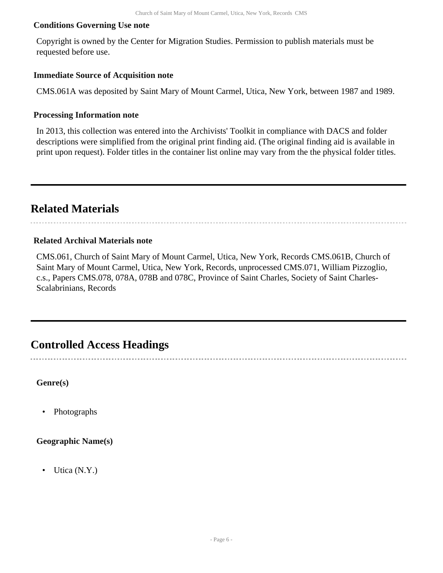#### **Conditions Governing Use note**

Copyright is owned by the Center for Migration Studies. Permission to publish materials must be requested before use.

#### **Immediate Source of Acquisition note**

CMS.061A was deposited by Saint Mary of Mount Carmel, Utica, New York, between 1987 and 1989.

#### **Processing Information note**

In 2013, this collection was entered into the Archivists' Toolkit in compliance with DACS and folder descriptions were simplified from the original print finding aid. (The original finding aid is available in print upon request). Folder titles in the container list online may vary from the the physical folder titles.

## <span id="page-5-0"></span>**Related Materials**

#### **Related Archival Materials note**

CMS.061, Church of Saint Mary of Mount Carmel, Utica, New York, Records CMS.061B, Church of Saint Mary of Mount Carmel, Utica, New York, Records, unprocessed CMS.071, William Pizzoglio, c.s., Papers CMS.078, 078A, 078B and 078C, Province of Saint Charles, Society of Saint Charles-Scalabrinians, Records

### <span id="page-5-1"></span>**Controlled Access Headings**

**Genre(s)**

• Photographs

#### **Geographic Name(s)**

• Utica (N.Y.)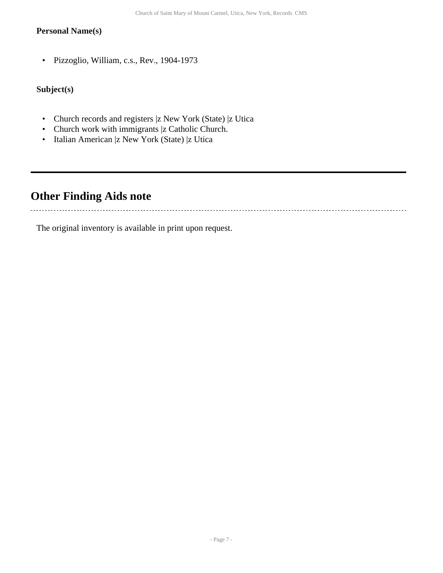#### **Personal Name(s)**

• Pizzoglio, William, c.s., Rev., 1904-1973

### **Subject(s)**

- Church records and registers |z New York (State) |z Utica
- Church work with immigrants |z Catholic Church.
- Italian American |z New York (State) |z Utica

## <span id="page-6-0"></span>**Other Finding Aids note**

. . . . . . . . . . . . . . . . . . .

The original inventory is available in print upon request.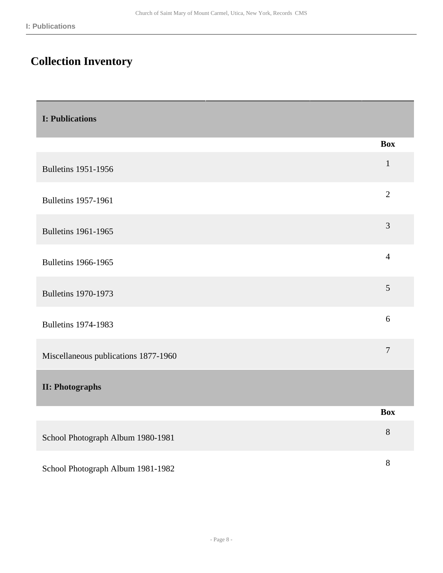# <span id="page-7-0"></span>**Collection Inventory**

<span id="page-7-2"></span><span id="page-7-1"></span>

| <b>I: Publications</b>               |                |
|--------------------------------------|----------------|
|                                      | <b>Box</b>     |
| <b>Bulletins 1951-1956</b>           | $\mathbf{1}$   |
| <b>Bulletins 1957-1961</b>           | $\overline{2}$ |
| <b>Bulletins 1961-1965</b>           | 3              |
| <b>Bulletins 1966-1965</b>           | $\overline{4}$ |
| <b>Bulletins 1970-1973</b>           | $\mathfrak{S}$ |
| <b>Bulletins 1974-1983</b>           | 6              |
| Miscellaneous publications 1877-1960 | $\tau$         |
| <b>II: Photographs</b>               |                |
|                                      | <b>Box</b>     |
| School Photograph Album 1980-1981    | 8              |
| School Photograph Album 1981-1982    | 8              |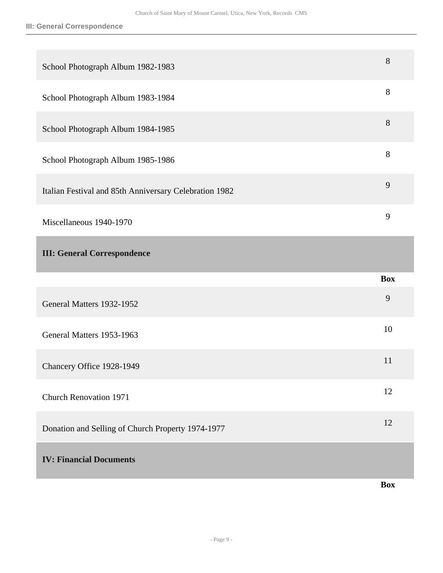<span id="page-8-1"></span><span id="page-8-0"></span>

| School Photograph Album 1982-1983                      | 8          |
|--------------------------------------------------------|------------|
| School Photograph Album 1983-1984                      | 8          |
| School Photograph Album 1984-1985                      | 8          |
| School Photograph Album 1985-1986                      | 8          |
| Italian Festival and 85th Anniversary Celebration 1982 | 9          |
| Miscellaneous 1940-1970                                | 9          |
| <b>III: General Correspondence</b>                     |            |
|                                                        |            |
|                                                        | <b>Box</b> |
| General Matters 1932-1952                              | 9          |
| General Matters 1953-1963                              | 10         |
| Chancery Office 1928-1949                              | 11         |
| <b>Church Renovation 1971</b>                          | 12         |
| Donation and Selling of Church Property 1974-1977      | 12         |
| <b>IV: Financial Documents</b>                         |            |